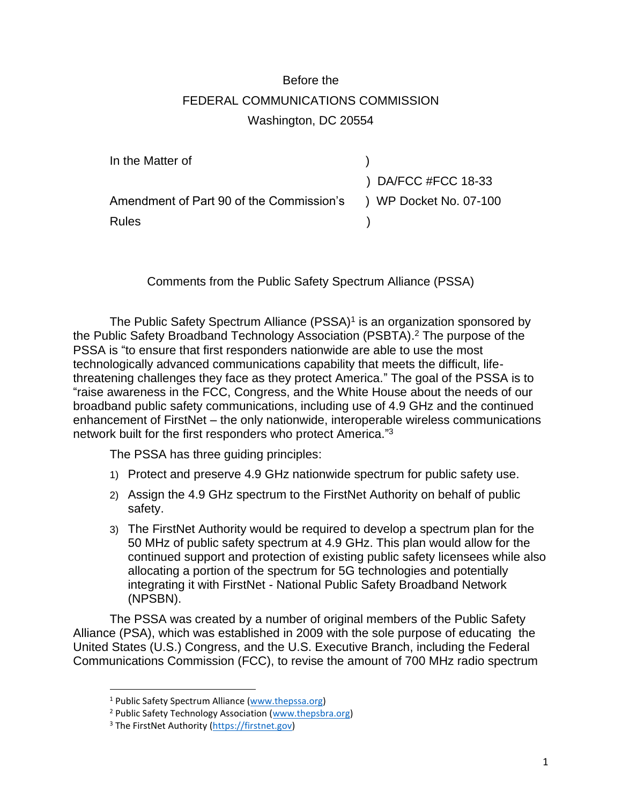## Before the FEDERAL COMMUNICATIONS COMMISSION Washington, DC 20554

| In the Matter of                                                |                              |
|-----------------------------------------------------------------|------------------------------|
|                                                                 | $\left($ ) DA/FCC #FCC 18-33 |
| Amendment of Part 90 of the Commission's ) WP Docket No. 07-100 |                              |
| <b>Rules</b>                                                    |                              |

Comments from the Public Safety Spectrum Alliance (PSSA)

The Public Safety Spectrum Alliance (PSSA)<sup>1</sup> is an organization sponsored by the Public Safety Broadband Technology Association (PSBTA). <sup>2</sup> The purpose of the PSSA is "to ensure that first responders nationwide are able to use the most technologically advanced communications capability that meets the difficult, lifethreatening challenges they face as they protect America." The goal of the PSSA is to "raise awareness in the FCC, Congress, and the White House about the needs of our broadband public safety communications, including use of 4.9 GHz and the continued enhancement of FirstNet – the only nationwide, interoperable wireless communications network built for the first responders who protect America."<sup>3</sup>

The PSSA has three guiding principles:

- 1) Protect and preserve 4.9 GHz nationwide spectrum for public safety use.
- 2) Assign the 4.9 GHz spectrum to the FirstNet Authority on behalf of public safety.
- 3) The FirstNet Authority would be required to develop a spectrum plan for the 50 MHz of public safety spectrum at 4.9 GHz. This plan would allow for the continued support and protection of existing public safety licensees while also allocating a portion of the spectrum for 5G technologies and potentially integrating it with FirstNet - National Public Safety Broadband Network (NPSBN).

The PSSA was created by a number of original members of the Public Safety Alliance (PSA), which was established in 2009 with the sole purpose of educating the United States (U.S.) Congress, and the U.S. Executive Branch, including the Federal Communications Commission (FCC), to revise the amount of 700 MHz radio spectrum

<sup>1</sup> Public Safety Spectrum Alliance [\(www.thepssa.org\)](file:///C:/Users/martha/Library/Containers/com.apple.mail/Data/Library/Mail%20Downloads/E9CA009A-5FF6-4F27-8BDF-8263C548621B/www.thepssa.org)

<sup>&</sup>lt;sup>2</sup> Public Safety Technology Association [\(www.thepsbra.org\)](file:///C:/Users/martha/Library/Containers/com.apple.mail/Data/Library/Mail%20Downloads/E9CA009A-5FF6-4F27-8BDF-8263C548621B/www.thepsbra.org)

<sup>3</sup> The FirstNet Authority [\(https://firstnet.gov\)](https://firstnet.gov/)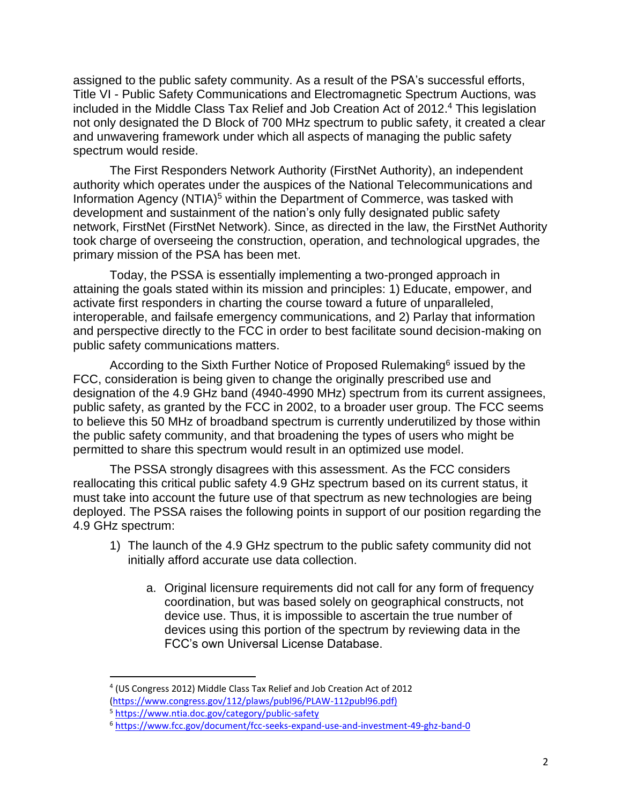assigned to the public safety community. As a result of the PSA's successful efforts, Title VI - Public Safety Communications and Electromagnetic Spectrum Auctions, was included in the Middle Class Tax Relief and Job Creation Act of 2012. <sup>4</sup> This legislation not only designated the D Block of 700 MHz spectrum to public safety, it created a clear and unwavering framework under which all aspects of managing the public safety spectrum would reside.

The First Responders Network Authority (FirstNet Authority), an independent authority which operates under the auspices of the National Telecommunications and Information Agency (NTIA)<sup>5</sup> within the Department of Commerce, was tasked with development and sustainment of the nation's only fully designated public safety network, FirstNet (FirstNet Network). Since, as directed in the law, the FirstNet Authority took charge of overseeing the construction, operation, and technological upgrades, the primary mission of the PSA has been met.

Today, the PSSA is essentially implementing a two-pronged approach in attaining the goals stated within its mission and principles: 1) Educate, empower, and activate first responders in charting the course toward a future of unparalleled, interoperable, and failsafe emergency communications, and 2) Parlay that information and perspective directly to the FCC in order to best facilitate sound decision-making on public safety communications matters.

According to the Sixth Further Notice of Proposed Rulemaking<sup>6</sup> issued by the FCC, consideration is being given to change the originally prescribed use and designation of the 4.9 GHz band (4940-4990 MHz) spectrum from its current assignees, public safety, as granted by the FCC in 2002, to a broader user group. The FCC seems to believe this 50 MHz of broadband spectrum is currently underutilized by those within the public safety community, and that broadening the types of users who might be permitted to share this spectrum would result in an optimized use model.

The PSSA strongly disagrees with this assessment. As the FCC considers reallocating this critical public safety 4.9 GHz spectrum based on its current status, it must take into account the future use of that spectrum as new technologies are being deployed. The PSSA raises the following points in support of our position regarding the 4.9 GHz spectrum:

- 1) The launch of the 4.9 GHz spectrum to the public safety community did not initially afford accurate use data collection.
	- a. Original licensure requirements did not call for any form of frequency coordination, but was based solely on geographical constructs, not device use. Thus, it is impossible to ascertain the true number of devices using this portion of the spectrum by reviewing data in the FCC's own Universal License Database.

<sup>4</sup> (US Congress 2012) Middle Class Tax Relief and Job Creation Act of 2012 [\(https://www.congress.gov/112/plaws/publ96/PLAW-112publ96.pdf\)](https://www.congress.gov/112/plaws/publ96/PLAW-112publ96.pdf)

<sup>5</sup> <https://www.ntia.doc.gov/category/public-safety>

<sup>6</sup> <https://www.fcc.gov/document/fcc-seeks-expand-use-and-investment-49-ghz-band-0>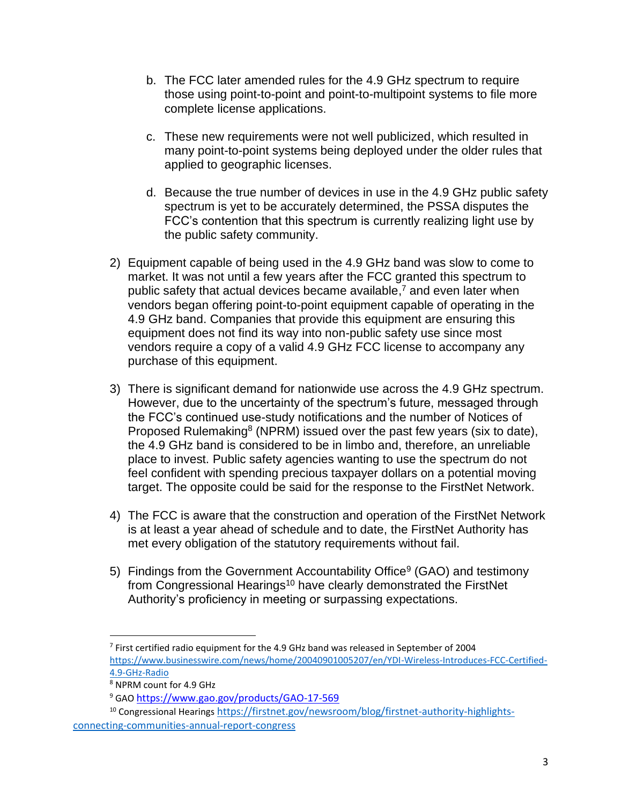- b. The FCC later amended rules for the 4.9 GHz spectrum to require those using point-to-point and point-to-multipoint systems to file more complete license applications.
- c. These new requirements were not well publicized, which resulted in many point-to-point systems being deployed under the older rules that applied to geographic licenses.
- d. Because the true number of devices in use in the 4.9 GHz public safety spectrum is yet to be accurately determined, the PSSA disputes the FCC's contention that this spectrum is currently realizing light use by the public safety community.
- 2) Equipment capable of being used in the 4.9 GHz band was slow to come to market. It was not until a few years after the FCC granted this spectrum to public safety that actual devices became available, <sup>7</sup> and even later when vendors began offering point-to-point equipment capable of operating in the 4.9 GHz band. Companies that provide this equipment are ensuring this equipment does not find its way into non-public safety use since most vendors require a copy of a valid 4.9 GHz FCC license to accompany any purchase of this equipment.
- 3) There is significant demand for nationwide use across the 4.9 GHz spectrum. However, due to the uncertainty of the spectrum's future, messaged through the FCC's continued use-study notifications and the number of Notices of Proposed Rulemaking<sup>8</sup> (NPRM) issued over the past few years (six to date), the 4.9 GHz band is considered to be in limbo and, therefore, an unreliable place to invest. Public safety agencies wanting to use the spectrum do not feel confident with spending precious taxpayer dollars on a potential moving target. The opposite could be said for the response to the FirstNet Network.
- 4) The FCC is aware that the construction and operation of the FirstNet Network is at least a year ahead of schedule and to date, the FirstNet Authority has met every obligation of the statutory requirements without fail.
- 5) Findings from the Government Accountability Office<sup>9</sup> (GAO) and testimony from Congressional Hearings<sup>10</sup> have clearly demonstrated the FirstNet Authority's proficiency in meeting or surpassing expectations.

<sup>&</sup>lt;sup>7</sup> First certified radio equipment for the 4.9 GHz band was released in September of 2004 [https://www.businesswire.com/news/home/20040901005207/en/YDI-Wireless-Introduces-FCC-Certified-](https://www.businesswire.com/news/home/20040901005207/en/YDI-Wireless-Introduces-FCC-Certified-4.9-GHz-Radio)[4.9-GHz-Radio](https://www.businesswire.com/news/home/20040901005207/en/YDI-Wireless-Introduces-FCC-Certified-4.9-GHz-Radio)

<sup>8</sup> NPRM count for 4.9 GHz

<sup>9</sup> GAO <https://www.gao.gov/products/GAO-17-569>

<sup>&</sup>lt;sup>10</sup> Congressional Hearings [https://firstnet.gov/newsroom/blog/firstnet-authority-highlights](https://firstnet.gov/newsroom/blog/firstnet-authority-highlights-%20%20connecting-communities-annual-report-congress)[connecting-communities-annual-report-congress](https://firstnet.gov/newsroom/blog/firstnet-authority-highlights-%20%20connecting-communities-annual-report-congress)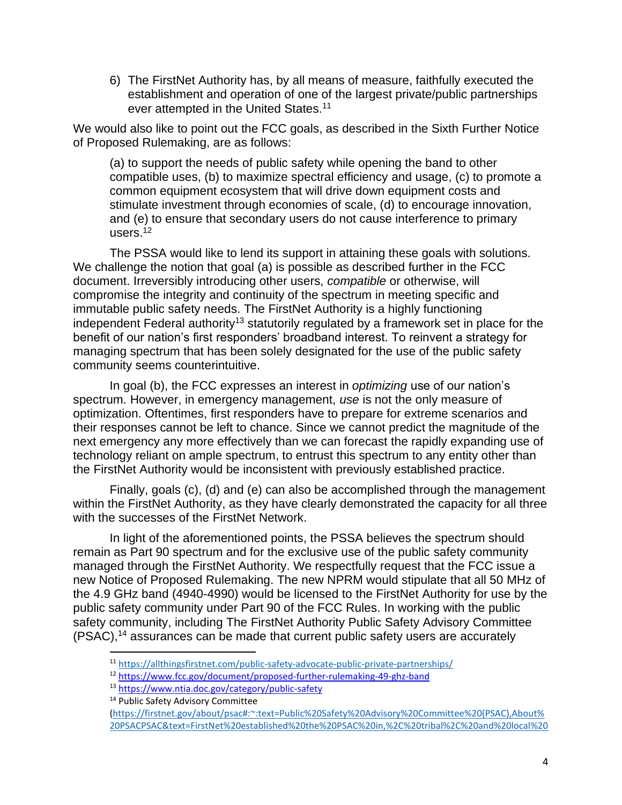6) The FirstNet Authority has, by all means of measure, faithfully executed the establishment and operation of one of the largest private/public partnerships ever attempted in the United States.<sup>11</sup>

We would also like to point out the FCC goals, as described in the Sixth Further Notice of Proposed Rulemaking, are as follows:

(a) to support the needs of public safety while opening the band to other compatible uses, (b) to maximize spectral efficiency and usage, (c) to promote a common equipment ecosystem that will drive down equipment costs and stimulate investment through economies of scale, (d) to encourage innovation, and (e) to ensure that secondary users do not cause interference to primary users. $12$ 

The PSSA would like to lend its support in attaining these goals with solutions. We challenge the notion that goal (a) is possible as described further in the FCC document. Irreversibly introducing other users, *compatible* or otherwise, will compromise the integrity and continuity of the spectrum in meeting specific and immutable public safety needs. The FirstNet Authority is a highly functioning independent Federal authority<sup>13</sup> statutorily regulated by a framework set in place for the benefit of our nation's first responders' broadband interest. To reinvent a strategy for managing spectrum that has been solely designated for the use of the public safety community seems counterintuitive.

In goal (b), the FCC expresses an interest in *optimizing* use of our nation's spectrum. However, in emergency management, *use* is not the only measure of optimization. Oftentimes, first responders have to prepare for extreme scenarios and their responses cannot be left to chance. Since we cannot predict the magnitude of the next emergency any more effectively than we can forecast the rapidly expanding use of technology reliant on ample spectrum, to entrust this spectrum to any entity other than the FirstNet Authority would be inconsistent with previously established practice.

Finally, goals (c), (d) and (e) can also be accomplished through the management within the FirstNet Authority, as they have clearly demonstrated the capacity for all three with the successes of the FirstNet Network.

In light of the aforementioned points, the PSSA believes the spectrum should remain as Part 90 spectrum and for the exclusive use of the public safety community managed through the FirstNet Authority. We respectfully request that the FCC issue a new Notice of Proposed Rulemaking. The new NPRM would stipulate that all 50 MHz of the 4.9 GHz band (4940-4990) would be licensed to the FirstNet Authority for use by the public safety community under Part 90 of the FCC Rules. In working with the public safety community, including The FirstNet Authority Public Safety Advisory Committee (PSAC), <sup>14</sup> assurances can be made that current public safety users are accurately

<sup>11</sup> <https://allthingsfirstnet.com/public-safety-advocate-public-private-partnerships/>

<sup>12</sup> <https://www.fcc.gov/document/proposed-further-rulemaking-49-ghz-band>

<sup>13</sup> <https://www.ntia.doc.gov/category/public-safety>

<sup>&</sup>lt;sup>14</sup> Public Safety Advisory Committee

[<sup>\(</sup>https://firstnet.gov/about/psac#:~:text=Public%20Safety%20Advisory%20Committee%20\(PSAC\),About%](https://firstnet.gov/about/psac#:~:text=Public%20Safety%20Advisory%20Committee%20(PSAC),About%20PSACPSAC&text=FirstNet%20established%20the%20PSAC%20in,%2C%20tribal%2C%20and%20local%20governments.&text=The%20mission%20of%20the%20PSAC,out%20its%20duties%20and%20responsibilities.) [20PSACPSAC&text=FirstNet%20established%20the%20PSAC%20in,%2C%20tribal%2C%20and%20local%20](https://firstnet.gov/about/psac#:~:text=Public%20Safety%20Advisory%20Committee%20(PSAC),About%20PSACPSAC&text=FirstNet%20established%20the%20PSAC%20in,%2C%20tribal%2C%20and%20local%20governments.&text=The%20mission%20of%20the%20PSAC,out%20its%20duties%20and%20responsibilities.)